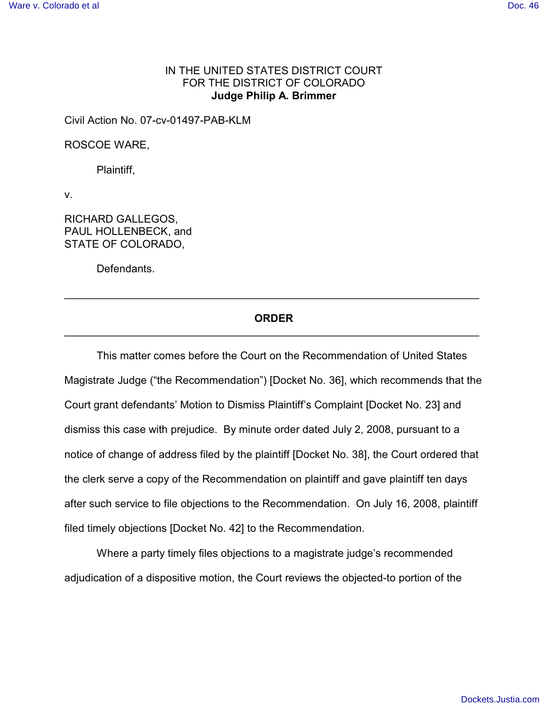## IN THE UNITED STATES DISTRICT COURT FOR THE DISTRICT OF COLORADO **Judge Philip A. Brimmer**

Civil Action No. 07-cv-01497-PAB-KLM

ROSCOE WARE,

Plaintiff,

v.

RICHARD GALLEGOS, PAUL HOLLENBECK, and STATE OF COLORADO,

Defendants.

## **ORDER** \_\_\_\_\_\_\_\_\_\_\_\_\_\_\_\_\_\_\_\_\_\_\_\_\_\_\_\_\_\_\_\_\_\_\_\_\_\_\_\_\_\_\_\_\_\_\_\_\_\_\_\_\_\_\_\_\_\_\_\_\_\_\_\_\_\_\_\_\_

\_\_\_\_\_\_\_\_\_\_\_\_\_\_\_\_\_\_\_\_\_\_\_\_\_\_\_\_\_\_\_\_\_\_\_\_\_\_\_\_\_\_\_\_\_\_\_\_\_\_\_\_\_\_\_\_\_\_\_\_\_\_\_\_\_\_\_\_\_

This matter comes before the Court on the Recommendation of United States Magistrate Judge ("the Recommendation") [Docket No. 36], which recommends that the Court grant defendants' Motion to Dismiss Plaintiff's Complaint [Docket No. 23] and dismiss this case with prejudice. By minute order dated July 2, 2008, pursuant to a notice of change of address filed by the plaintiff [Docket No. 38], the Court ordered that the clerk serve a copy of the Recommendation on plaintiff and gave plaintiff ten days after such service to file objections to the Recommendation. On July 16, 2008, plaintiff filed timely objections [Docket No. 42] to the Recommendation.

Where a party timely files objections to a magistrate judge's recommended adjudication of a dispositive motion, the Court reviews the objected-to portion of the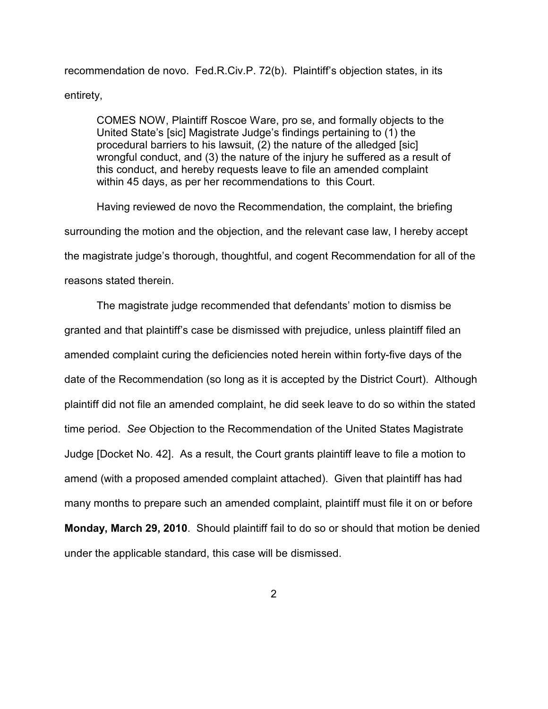recommendation de novo. Fed.R.Civ.P. 72(b). Plaintiff's objection states, in its entirety,

COMES NOW, Plaintiff Roscoe Ware, pro se, and formally objects to the United State's [sic] Magistrate Judge's findings pertaining to (1) the procedural barriers to his lawsuit, (2) the nature of the alledged [sic] wrongful conduct, and (3) the nature of the injury he suffered as a result of this conduct, and hereby requests leave to file an amended complaint within 45 days, as per her recommendations to this Court.

Having reviewed de novo the Recommendation, the complaint, the briefing surrounding the motion and the objection, and the relevant case law, I hereby accept the magistrate judge's thorough, thoughtful, and cogent Recommendation for all of the reasons stated therein.

The magistrate judge recommended that defendants' motion to dismiss be granted and that plaintiff's case be dismissed with prejudice, unless plaintiff filed an amended complaint curing the deficiencies noted herein within forty-five days of the date of the Recommendation (so long as it is accepted by the District Court). Although plaintiff did not file an amended complaint, he did seek leave to do so within the stated time period. *See* Objection to the Recommendation of the United States Magistrate Judge [Docket No. 42]. As a result, the Court grants plaintiff leave to file a motion to amend (with a proposed amended complaint attached). Given that plaintiff has had many months to prepare such an amended complaint, plaintiff must file it on or before **Monday, March 29, 2010**. Should plaintiff fail to do so or should that motion be denied under the applicable standard, this case will be dismissed.

2